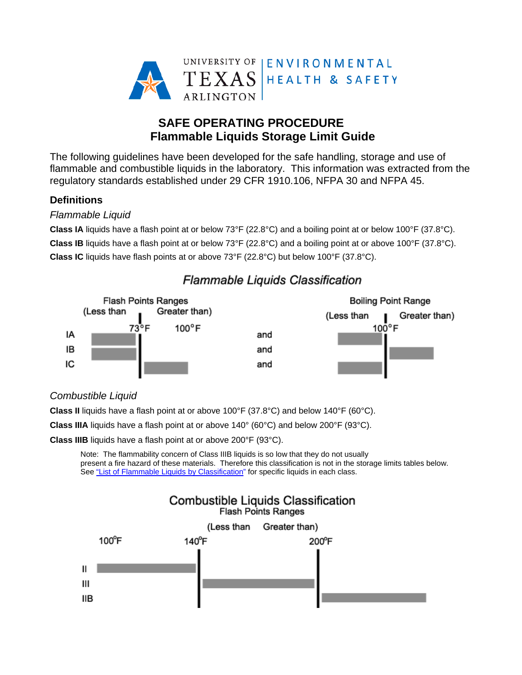

# **SAFE OPERATING PROCEDURE Flammable Liquids Storage Limit Guide**

The following guidelines have been developed for the safe handling, storage and use of flammable and combustible liquids in the laboratory. This information was extracted from the regulatory standards established under 29 CFR 1910.106, NFPA 30 and NFPA 45.

## **Definitions**

## *Flammable Liquid*

**Class IA** liquids have a flash point at or below 73°F (22.8°C) and a boiling point at or below 100°F (37.8°C). **Class IB** liquids have a flash point at or below 73°F (22.8°C) and a boiling point at or above 100°F (37.8°C). **Class IC** liquids have flash points at or above 73°F (22.8°C) but below 100°F (37.8°C).



# Flammable Liquids Classification

# *Combustible Liquid*

**Class II** liquids have a flash point at or above 100°F (37.8°C) and below 140°F (60°C).

**Class IIIA** liquids have a flash point at or above 140° (60°C) and below 200°F (93°C).

**Class IIIB** liquids have a flash point at or above 200°F (93°C).

Note: The flammability concern of Class IIIB liquids is so low that they do not usually present a fire hazard of these materials. Therefore this classification is not in the storage limits tables below. See "List of Flammable Liquids by Classification" for specific liquids in each class.

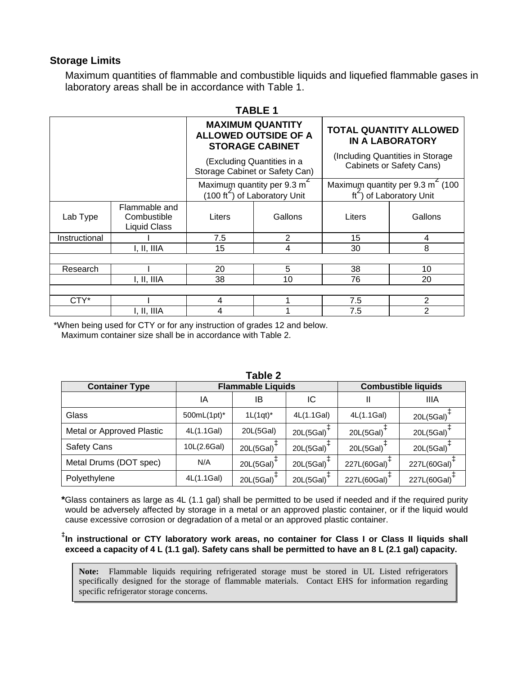### **Storage Limits**

Maximum quantities of flammable and combustible liquids and liquefied flammable gases in laboratory areas shall be in accordance with Table 1.

|               |                                              |                                                                                    | <b>TABLE 1</b> |                                                                     |                                                                                   |
|---------------|----------------------------------------------|------------------------------------------------------------------------------------|----------------|---------------------------------------------------------------------|-----------------------------------------------------------------------------------|
|               |                                              | <b>MAXIMUM QUANTITY</b><br><b>ALLOWED OUTSIDE OF A</b><br><b>STORAGE CABINET</b>   |                | <b>TOTAL QUANTITY ALLOWED</b><br><b>IN A LABORATORY</b>             |                                                                                   |
|               |                                              | (Excluding Quantities in a<br>Storage Cabinet or Safety Can)                       |                | (Including Quantities in Storage<br><b>Cabinets or Safety Cans)</b> |                                                                                   |
|               |                                              | Maximum quantity per 9.3 m <sup>2</sup><br>$(100 \text{ ft}^2)$ of Laboratory Unit |                |                                                                     | Maximum quantity per $9.3 \text{ m}^2$ (100<br>$\text{ft}^2$ ) of Laboratory Unit |
| Lab Type      | Flammable and<br>Combustible<br>Liquid Class | Liters                                                                             | Gallons        | Liters                                                              | Gallons                                                                           |
| Instructional |                                              | 7.5                                                                                | $\overline{2}$ | 15                                                                  | 4                                                                                 |
|               | I, II, IIIA                                  | 15                                                                                 | 4              | 30                                                                  | 8                                                                                 |
|               |                                              |                                                                                    |                |                                                                     |                                                                                   |
| Research      |                                              | 20                                                                                 | 5              | 38                                                                  | 10                                                                                |
|               | I, II, IIIA                                  | 38                                                                                 | 10             | 76                                                                  | 20                                                                                |
|               |                                              |                                                                                    |                |                                                                     |                                                                                   |
| CTY*          |                                              | 4                                                                                  |                | 7.5                                                                 | 2                                                                                 |
|               | I, II, IIIA                                  | 4                                                                                  |                | 7.5                                                                 | 2                                                                                 |

\*When being used for CTY or for any instruction of grades 12 and below.

Maximum container size shall be in accordance with Table 2.

| i apie z                  |                          |              |                            |                           |                          |
|---------------------------|--------------------------|--------------|----------------------------|---------------------------|--------------------------|
| <b>Container Type</b>     | <b>Flammable Liquids</b> |              | <b>Combustible liquids</b> |                           |                          |
|                           | ΙA                       | IB           | IC                         | Ш                         | IIIA                     |
| Glass                     | 500mL(1pt)*              | $1L(1qt)^*$  | 4L(1.1Gal)                 | 4L(1.1Gal)                | 20L(5Gal)                |
| Metal or Approved Plastic | 4L(1.1Gal)               | 20L(5Gal)    | $20L(5Gal)$ <sup>-1</sup>  | 20L $(5Gal)^{\mathsf{T}}$ | 20L(5Gal)                |
| <b>Safety Cans</b>        | 10L(2.6Gal)              | $20L(5Gal)+$ | $20L(5Gal)$ <sup>-1</sup>  | $20L(5Gal)+$              | 20L(5Gal) <sup>4</sup>   |
| Metal Drums (DOT spec)    | N/A                      | $20L(5Gal)+$ | 20L(5Gal)                  | 227L(60Gal)               | 227L(60Gal) <sup>1</sup> |
| Polyethylene              | 4L(1.1Gal)               | $20L(5Gal)+$ | 20L(5Gal)                  | 227L(60Gal)               | 227L(60Gal)              |

**Table 2** 

**\***Glass containers as large as 4L (1.1 gal) shall be permitted to be used if needed and if the required purity would be adversely affected by storage in a metal or an approved plastic container, or if the liquid would cause excessive corrosion or degradation of a metal or an approved plastic container.

#### **‡ In instructional or CTY laboratory work areas, no container for Class I or Class II liquids shall exceed a capacity of 4 L (1.1 gal). Safety cans shall be permitted to have an 8 L (2.1 gal) capacity.**

**Note:** Flammable liquids requiring refrigerated storage must be stored in UL Listed refrigerators specifically designed for the storage of flammable materials. Contact EHS for information regarding specific refrigerator storage concerns.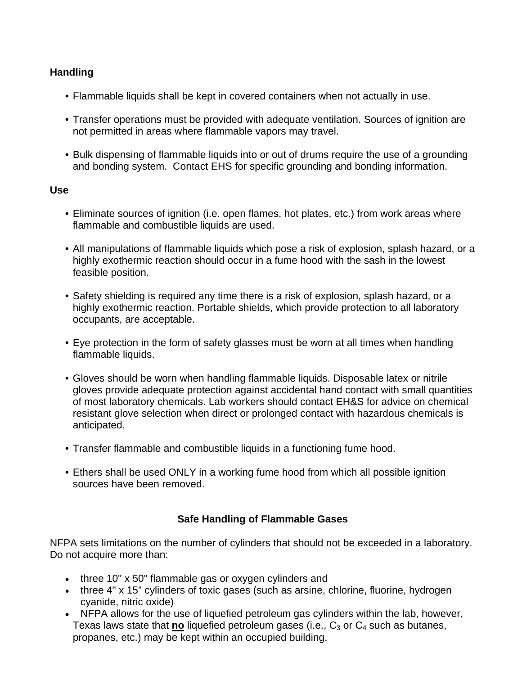## **Handling**

- Flammable liquids shall be kept in covered containers when not actually in use.
- Transfer operations must be provided with adequate ventilation. Sources of ignition are not permitted in areas where flammable vapors may travel.
- Bulk dispensing of flammable liquids into or out of drums require the use of a grounding and bonding system. Contact EHS for specific grounding and bonding information.

## **Use**

- Eliminate sources of ignition (i.e. open flames, hot plates, etc.) from work areas where flammable and combustible liquids are used.
- All manipulations of flammable liquids which pose a risk of explosion, splash hazard, or a highly exothermic reaction should occur in a fume hood with the sash in the lowest feasible position.
- Safety shielding is required any time there is a risk of explosion, splash hazard, or a highly exothermic reaction. Portable shields, which provide protection to all laboratory occupants, are acceptable.
- Eye protection in the form of safety glasses must be worn at all times when handling flammable liquids.
- Gloves should be worn when handling flammable liquids. Disposable latex or nitrile gloves provide adequate protection against accidental hand contact with small quantities of most laboratory chemicals. Lab workers should contact EH&S for advice on chemical resistant glove selection when direct or prolonged contact with hazardous chemicals is anticipated.
- Transfer flammable and combustible liquids in a functioning fume hood.
- Ethers shall be used ONLY in a working fume hood from which all possible ignition sources have been removed.

# **Safe Handling of Flammable Gases**

NFPA sets limitations on the number of cylinders that should not be exceeded in a laboratory. Do not acquire more than:

- three 10" x 50" flammable gas or oxygen cylinders and
- three 4" x 15" cylinders of toxic gases (such as arsine, chlorine, fluorine, hydrogen cyanide, nitric oxide)
- NFPA allows for the use of liquefied petroleum gas cylinders within the lab, however, Texas laws state that  $\underline{\mathbf{no}}$  liquefied petroleum gases (i.e.,  $C_3$  or  $C_4$  such as butanes, propanes, etc.) may be kept within an occupied building.